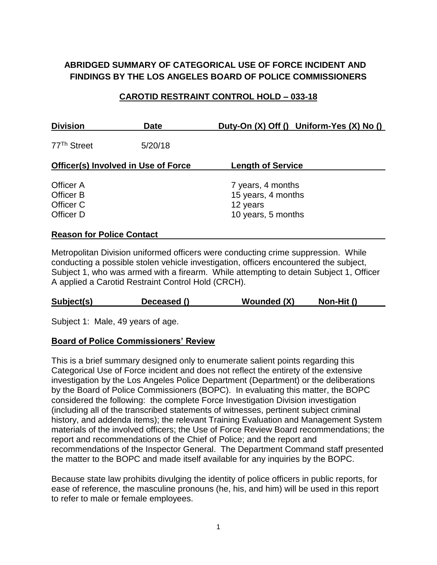# **ABRIDGED SUMMARY OF CATEGORICAL USE OF FORCE INCIDENT AND FINDINGS BY THE LOS ANGELES BOARD OF POLICE COMMISSIONERS**

## **CAROTID RESTRAINT CONTROL HOLD – 033-18**

| <b>Division</b>                                  | <b>Date</b> | Duty-On (X) Off () Uniform-Yes (X) No ()                                  |
|--------------------------------------------------|-------------|---------------------------------------------------------------------------|
| 77 <sup>Th</sup> Street                          | 5/20/18     |                                                                           |
| <b>Officer(s) Involved in Use of Force</b>       |             | <b>Length of Service</b>                                                  |
| Officer A<br>Officer B<br>Officer C<br>Officer D |             | 7 years, 4 months<br>15 years, 4 months<br>12 years<br>10 years, 5 months |
| <b>Reason for Police Contact</b>                 |             |                                                                           |

Metropolitan Division uniformed officers were conducting crime suppression. While conducting a possible stolen vehicle investigation, officers encountered the subject, Subject 1, who was armed with a firearm. While attempting to detain Subject 1, Officer A applied a Carotid Restraint Control Hold (CRCH).

#### **Subject(s) Deceased () Wounded (X) Non-Hit ()**

Subject 1: Male, 49 years of age.

#### **Board of Police Commissioners' Review**

This is a brief summary designed only to enumerate salient points regarding this Categorical Use of Force incident and does not reflect the entirety of the extensive investigation by the Los Angeles Police Department (Department) or the deliberations by the Board of Police Commissioners (BOPC). In evaluating this matter, the BOPC considered the following: the complete Force Investigation Division investigation (including all of the transcribed statements of witnesses, pertinent subject criminal history, and addenda items); the relevant Training Evaluation and Management System materials of the involved officers; the Use of Force Review Board recommendations; the report and recommendations of the Chief of Police; and the report and recommendations of the Inspector General. The Department Command staff presented the matter to the BOPC and made itself available for any inquiries by the BOPC.

Because state law prohibits divulging the identity of police officers in public reports, for ease of reference, the masculine pronouns (he, his, and him) will be used in this report to refer to male or female employees.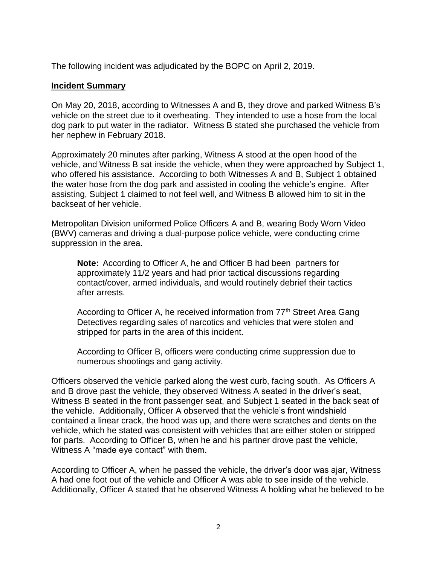The following incident was adjudicated by the BOPC on April 2, 2019.

### **Incident Summary**

On May 20, 2018, according to Witnesses A and B, they drove and parked Witness B's vehicle on the street due to it overheating. They intended to use a hose from the local dog park to put water in the radiator. Witness B stated she purchased the vehicle from her nephew in February 2018.

Approximately 20 minutes after parking, Witness A stood at the open hood of the vehicle, and Witness B sat inside the vehicle, when they were approached by Subject 1, who offered his assistance. According to both Witnesses A and B, Subject 1 obtained the water hose from the dog park and assisted in cooling the vehicle's engine. After assisting, Subject 1 claimed to not feel well, and Witness B allowed him to sit in the backseat of her vehicle.

Metropolitan Division uniformed Police Officers A and B, wearing Body Worn Video (BWV) cameras and driving a dual-purpose police vehicle, were conducting crime suppression in the area.

**Note:** According to Officer A, he and Officer B had been partners for approximately 11/2 years and had prior tactical discussions regarding contact/cover, armed individuals, and would routinely debrief their tactics after arrests.

According to Officer A, he received information from 77<sup>th</sup> Street Area Gang Detectives regarding sales of narcotics and vehicles that were stolen and stripped for parts in the area of this incident.

According to Officer B, officers were conducting crime suppression due to numerous shootings and gang activity.

Officers observed the vehicle parked along the west curb, facing south. As Officers A and B drove past the vehicle, they observed Witness A seated in the driver's seat, Witness B seated in the front passenger seat, and Subject 1 seated in the back seat of the vehicle. Additionally, Officer A observed that the vehicle's front windshield contained a linear crack, the hood was up, and there were scratches and dents on the vehicle, which he stated was consistent with vehicles that are either stolen or stripped for parts. According to Officer B, when he and his partner drove past the vehicle, Witness A "made eye contact" with them.

According to Officer A, when he passed the vehicle, the driver's door was ajar, Witness A had one foot out of the vehicle and Officer A was able to see inside of the vehicle. Additionally, Officer A stated that he observed Witness A holding what he believed to be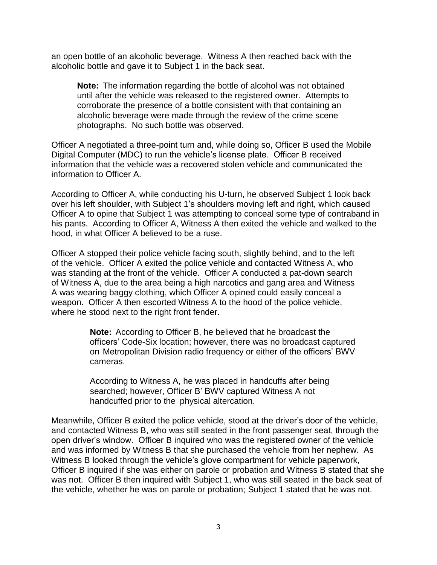an open bottle of an alcoholic beverage. Witness A then reached back with the alcoholic bottle and gave it to Subject 1 in the back seat.

**Note:** The information regarding the bottle of alcohol was not obtained until after the vehicle was released to the registered owner. Attempts to corroborate the presence of a bottle consistent with that containing an alcoholic beverage were made through the review of the crime scene photographs. No such bottle was observed.

Officer A negotiated a three-point turn and, while doing so, Officer B used the Mobile Digital Computer (MDC) to run the vehicle's license plate. Officer B received information that the vehicle was a recovered stolen vehicle and communicated the information to Officer A.

According to Officer A, while conducting his U-turn, he observed Subject 1 look back over his left shoulder, with Subject 1's shoulders moving left and right, which caused Officer A to opine that Subject 1 was attempting to conceal some type of contraband in his pants. According to Officer A, Witness A then exited the vehicle and walked to the hood, in what Officer A believed to be a ruse.

Officer A stopped their police vehicle facing south, slightly behind, and to the left of the vehicle. Officer A exited the police vehicle and contacted Witness A, who was standing at the front of the vehicle. Officer A conducted a pat-down search of Witness A, due to the area being a high narcotics and gang area and Witness A was wearing baggy clothing, which Officer A opined could easily conceal a weapon. Officer A then escorted Witness A to the hood of the police vehicle, where he stood next to the right front fender.

> **Note:** According to Officer B, he believed that he broadcast the officers' Code-Six location; however, there was no broadcast captured on Metropolitan Division radio frequency or either of the officers' BWV cameras.

According to Witness A, he was placed in handcuffs after being searched; however, Officer B' BWV captured Witness A not handcuffed prior to the physical altercation.

Meanwhile, Officer B exited the police vehicle, stood at the driver's door of the vehicle, and contacted Witness B, who was still seated in the front passenger seat, through the open driver's window. Officer B inquired who was the registered owner of the vehicle and was informed by Witness B that she purchased the vehicle from her nephew. As Witness B looked through the vehicle's glove compartment for vehicle paperwork, Officer B inquired if she was either on parole or probation and Witness B stated that she was not. Officer B then inquired with Subject 1, who was still seated in the back seat of the vehicle, whether he was on parole or probation; Subject 1 stated that he was not.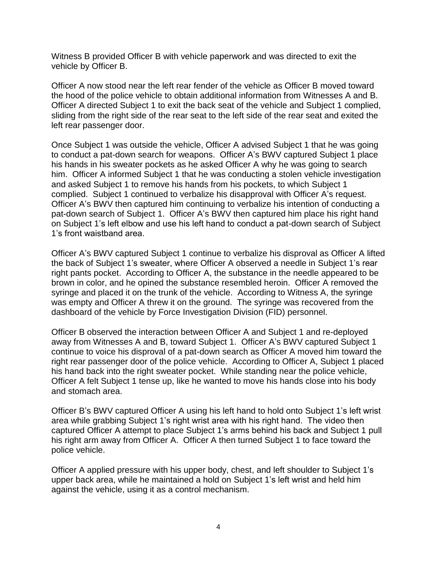Witness B provided Officer B with vehicle paperwork and was directed to exit the vehicle by Officer B.

Officer A now stood near the left rear fender of the vehicle as Officer B moved toward the hood of the police vehicle to obtain additional information from Witnesses A and B. Officer A directed Subject 1 to exit the back seat of the vehicle and Subject 1 complied, sliding from the right side of the rear seat to the left side of the rear seat and exited the left rear passenger door.

Once Subject 1 was outside the vehicle, Officer A advised Subject 1 that he was going to conduct a pat-down search for weapons. Officer A's BWV captured Subject 1 place his hands in his sweater pockets as he asked Officer A why he was going to search him. Officer A informed Subject 1 that he was conducting a stolen vehicle investigation and asked Subject 1 to remove his hands from his pockets, to which Subject 1 complied. Subject 1 continued to verbalize his disapproval with Officer A's request. Officer A's BWV then captured him continuing to verbalize his intention of conducting a pat-down search of Subject 1. Officer A's BWV then captured him place his right hand on Subject 1's left elbow and use his left hand to conduct a pat-down search of Subject 1's front waistband area.

Officer A's BWV captured Subject 1 continue to verbalize his disproval as Officer A lifted the back of Subject 1's sweater, where Officer A observed a needle in Subject 1's rear right pants pocket. According to Officer A, the substance in the needle appeared to be brown in color, and he opined the substance resembled heroin. Officer A removed the syringe and placed it on the trunk of the vehicle. According to Witness A, the syringe was empty and Officer A threw it on the ground. The syringe was recovered from the dashboard of the vehicle by Force Investigation Division (FID) personnel.

Officer B observed the interaction between Officer A and Subject 1 and re-deployed away from Witnesses A and B, toward Subject 1. Officer A's BWV captured Subject 1 continue to voice his disproval of a pat-down search as Officer A moved him toward the right rear passenger door of the police vehicle. According to Officer A, Subject 1 placed his hand back into the right sweater pocket. While standing near the police vehicle, Officer A felt Subject 1 tense up, like he wanted to move his hands close into his body and stomach area.

Officer B's BWV captured Officer A using his left hand to hold onto Subject 1's left wrist area while grabbing Subject 1's right wrist area with his right hand. The video then captured Officer A attempt to place Subject 1's arms behind his back and Subject 1 pull his right arm away from Officer A. Officer A then turned Subject 1 to face toward the police vehicle.

Officer A applied pressure with his upper body, chest, and left shoulder to Subject 1's upper back area, while he maintained a hold on Subject 1's left wrist and held him against the vehicle, using it as a control mechanism.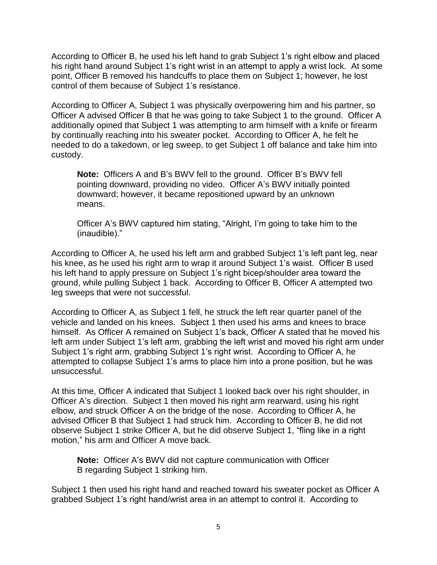According to Officer B, he used his left hand to grab Subject 1's right elbow and placed his right hand around Subject 1's right wrist in an attempt to apply a wrist lock. At some point, Officer B removed his handcuffs to place them on Subject 1; however, he lost control of them because of Subject 1's resistance.

According to Officer A, Subject 1 was physically overpowering him and his partner, so Officer A advised Officer B that he was going to take Subject 1 to the ground. Officer A additionally opined that Subject 1 was attempting to arm himself with a knife or firearm by continually reaching into his sweater pocket. According to Officer A, he felt he needed to do a takedown, or leg sweep, to get Subject 1 off balance and take him into custody.

**Note:** Officers A and B's BWV fell to the ground. Officer B's BWV fell pointing downward, providing no video. Officer A's BWV initially pointed downward; however, it became repositioned upward by an unknown means.

Officer A's BWV captured him stating, "Alright, I'm going to take him to the (inaudible)."

According to Officer A, he used his left arm and grabbed Subject 1's left pant leg, near his knee, as he used his right arm to wrap it around Subject 1's waist. Officer B used his left hand to apply pressure on Subject 1's right bicep/shoulder area toward the ground, while pulling Subject 1 back. According to Officer B, Officer A attempted two leg sweeps that were not successful.

According to Officer A, as Subject 1 fell, he struck the left rear quarter panel of the vehicle and landed on his knees. Subject 1 then used his arms and knees to brace himself. As Officer A remained on Subject 1's back, Officer A stated that he moved his left arm under Subject 1's left arm, grabbing the left wrist and moved his right arm under Subject 1's right arm, grabbing Subject 1's right wrist. According to Officer A, he attempted to collapse Subject 1's arms to place him into a prone position, but he was unsuccessful.

At this time, Officer A indicated that Subject 1 looked back over his right shoulder, in Officer A's direction. Subject 1 then moved his right arm rearward, using his right elbow, and struck Officer A on the bridge of the nose. According to Officer A, he advised Officer B that Subject 1 had struck him. According to Officer B, he did not observe Subject 1 strike Officer A, but he did observe Subject 1, "fling like in a right motion," his arm and Officer A move back.

**Note:** Officer A's BWV did not capture communication with Officer B regarding Subject 1 striking him.

Subject 1 then used his right hand and reached toward his sweater pocket as Officer A grabbed Subject 1's right hand/wrist area in an attempt to control it. According to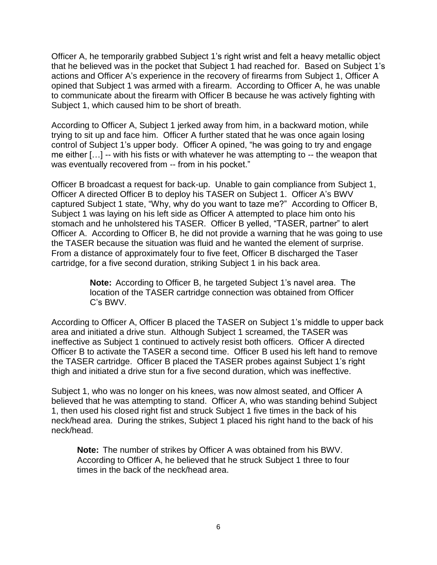Officer A, he temporarily grabbed Subject 1's right wrist and felt a heavy metallic object that he believed was in the pocket that Subject 1 had reached for. Based on Subject 1's actions and Officer A's experience in the recovery of firearms from Subject 1, Officer A opined that Subject 1 was armed with a firearm. According to Officer A, he was unable to communicate about the firearm with Officer B because he was actively fighting with Subject 1, which caused him to be short of breath.

According to Officer A, Subject 1 jerked away from him, in a backward motion, while trying to sit up and face him. Officer A further stated that he was once again losing control of Subject 1's upper body. Officer A opined, "he was going to try and engage me either […] -- with his fists or with whatever he was attempting to -- the weapon that was eventually recovered from -- from in his pocket."

Officer B broadcast a request for back-up. Unable to gain compliance from Subject 1, Officer A directed Officer B to deploy his TASER on Subject 1. Officer A's BWV captured Subject 1 state, "Why, why do you want to taze me?" According to Officer B, Subject 1 was laying on his left side as Officer A attempted to place him onto his stomach and he unholstered his TASER. Officer B yelled, "TASER, partner" to alert Officer A. According to Officer B, he did not provide a warning that he was going to use the TASER because the situation was fluid and he wanted the element of surprise. From a distance of approximately four to five feet, Officer B discharged the Taser cartridge, for a five second duration, striking Subject 1 in his back area.

> **Note:** According to Officer B, he targeted Subject 1's navel area. The location of the TASER cartridge connection was obtained from Officer C's BWV.

According to Officer A, Officer B placed the TASER on Subject 1's middle to upper back area and initiated a drive stun. Although Subject 1 screamed, the TASER was ineffective as Subject 1 continued to actively resist both officers. Officer A directed Officer B to activate the TASER a second time. Officer B used his left hand to remove the TASER cartridge. Officer B placed the TASER probes against Subject 1's right thigh and initiated a drive stun for a five second duration, which was ineffective.

Subject 1, who was no longer on his knees, was now almost seated, and Officer A believed that he was attempting to stand. Officer A, who was standing behind Subject 1, then used his closed right fist and struck Subject 1 five times in the back of his neck/head area. During the strikes, Subject 1 placed his right hand to the back of his neck/head.

**Note:** The number of strikes by Officer A was obtained from his BWV. According to Officer A, he believed that he struck Subject 1 three to four times in the back of the neck/head area.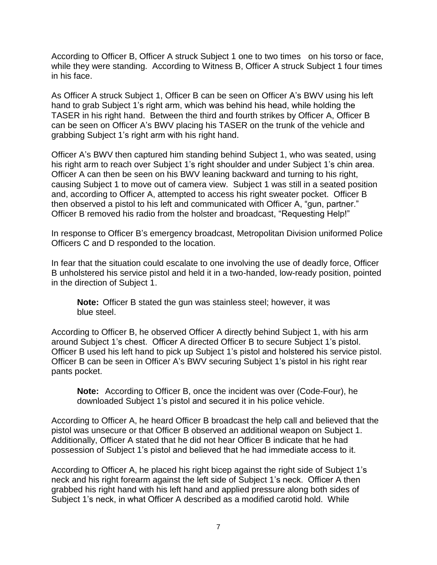According to Officer B, Officer A struck Subject 1 one to two times on his torso or face, while they were standing. According to Witness B, Officer A struck Subject 1 four times in his face.

As Officer A struck Subject 1, Officer B can be seen on Officer A's BWV using his left hand to grab Subject 1's right arm, which was behind his head, while holding the TASER in his right hand. Between the third and fourth strikes by Officer A, Officer B can be seen on Officer A's BWV placing his TASER on the trunk of the vehicle and grabbing Subject 1's right arm with his right hand.

Officer A's BWV then captured him standing behind Subject 1, who was seated, using his right arm to reach over Subject 1's right shoulder and under Subject 1's chin area. Officer A can then be seen on his BWV leaning backward and turning to his right, causing Subject 1 to move out of camera view. Subject 1 was still in a seated position and, according to Officer A, attempted to access his right sweater pocket. Officer B then observed a pistol to his left and communicated with Officer A, "gun, partner." Officer B removed his radio from the holster and broadcast, "Requesting Help!"

In response to Officer B's emergency broadcast, Metropolitan Division uniformed Police Officers C and D responded to the location.

In fear that the situation could escalate to one involving the use of deadly force, Officer B unholstered his service pistol and held it in a two-handed, low-ready position, pointed in the direction of Subject 1.

**Note:** Officer B stated the gun was stainless steel; however, it was blue steel.

According to Officer B, he observed Officer A directly behind Subject 1, with his arm around Subject 1's chest. Officer A directed Officer B to secure Subject 1's pistol. Officer B used his left hand to pick up Subject 1's pistol and holstered his service pistol. Officer B can be seen in Officer A's BWV securing Subject 1's pistol in his right rear pants pocket.

**Note:** According to Officer B, once the incident was over (Code-Four), he downloaded Subject 1's pistol and secured it in his police vehicle.

According to Officer A, he heard Officer B broadcast the help call and believed that the pistol was unsecure or that Officer B observed an additional weapon on Subject 1. Additionally, Officer A stated that he did not hear Officer B indicate that he had possession of Subject 1's pistol and believed that he had immediate access to it.

According to Officer A, he placed his right bicep against the right side of Subject 1's neck and his right forearm against the left side of Subject 1's neck. Officer A then grabbed his right hand with his left hand and applied pressure along both sides of Subject 1's neck, in what Officer A described as a modified carotid hold. While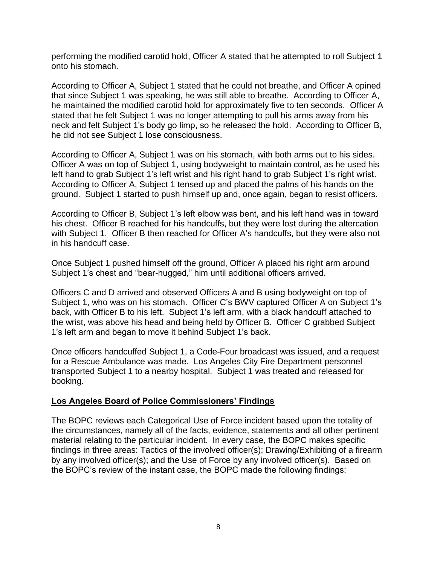performing the modified carotid hold, Officer A stated that he attempted to roll Subject 1 onto his stomach.

According to Officer A, Subject 1 stated that he could not breathe, and Officer A opined that since Subject 1 was speaking, he was still able to breathe. According to Officer A, he maintained the modified carotid hold for approximately five to ten seconds. Officer A stated that he felt Subject 1 was no longer attempting to pull his arms away from his neck and felt Subject 1's body go limp, so he released the hold. According to Officer B, he did not see Subject 1 lose consciousness.

According to Officer A, Subject 1 was on his stomach, with both arms out to his sides. Officer A was on top of Subject 1, using bodyweight to maintain control, as he used his left hand to grab Subject 1's left wrist and his right hand to grab Subject 1's right wrist. According to Officer A, Subject 1 tensed up and placed the palms of his hands on the ground. Subject 1 started to push himself up and, once again, began to resist officers.

According to Officer B, Subject 1's left elbow was bent, and his left hand was in toward his chest. Officer B reached for his handcuffs, but they were lost during the altercation with Subject 1. Officer B then reached for Officer A's handcuffs, but they were also not in his handcuff case.

Once Subject 1 pushed himself off the ground, Officer A placed his right arm around Subject 1's chest and "bear-hugged," him until additional officers arrived.

Officers C and D arrived and observed Officers A and B using bodyweight on top of Subject 1, who was on his stomach. Officer C's BWV captured Officer A on Subject 1's back, with Officer B to his left. Subject 1's left arm, with a black handcuff attached to the wrist, was above his head and being held by Officer B. Officer C grabbed Subject 1's left arm and began to move it behind Subject 1's back.

Once officers handcuffed Subject 1, a Code-Four broadcast was issued, and a request for a Rescue Ambulance was made. Los Angeles City Fire Department personnel transported Subject 1 to a nearby hospital. Subject 1 was treated and released for booking.

#### **Los Angeles Board of Police Commissioners' Findings**

The BOPC reviews each Categorical Use of Force incident based upon the totality of the circumstances, namely all of the facts, evidence, statements and all other pertinent material relating to the particular incident. In every case, the BOPC makes specific findings in three areas: Tactics of the involved officer(s); Drawing/Exhibiting of a firearm by any involved officer(s); and the Use of Force by any involved officer(s). Based on the BOPC's review of the instant case, the BOPC made the following findings: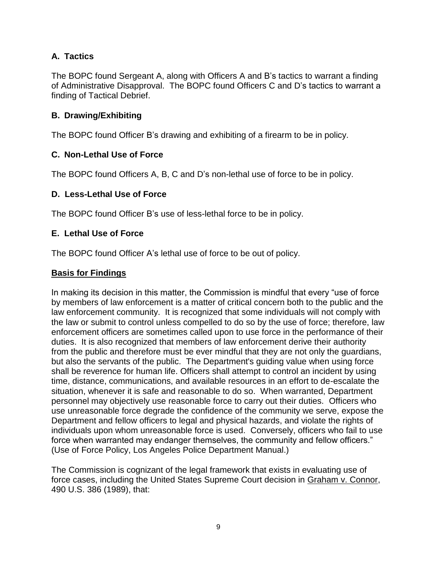## **A. Tactics**

The BOPC found Sergeant A, along with Officers A and B's tactics to warrant a finding of Administrative Disapproval. The BOPC found Officers C and D's tactics to warrant a finding of Tactical Debrief.

## **B. Drawing/Exhibiting**

The BOPC found Officer B's drawing and exhibiting of a firearm to be in policy.

## **C. Non-Lethal Use of Force**

The BOPC found Officers A, B, C and D's non-lethal use of force to be in policy.

## **D. Less-Lethal Use of Force**

The BOPC found Officer B's use of less-lethal force to be in policy.

## **E. Lethal Use of Force**

The BOPC found Officer A's lethal use of force to be out of policy.

#### **Basis for Findings**

In making its decision in this matter, the Commission is mindful that every "use of force by members of law enforcement is a matter of critical concern both to the public and the law enforcement community. It is recognized that some individuals will not comply with the law or submit to control unless compelled to do so by the use of force; therefore, law enforcement officers are sometimes called upon to use force in the performance of their duties. It is also recognized that members of law enforcement derive their authority from the public and therefore must be ever mindful that they are not only the guardians, but also the servants of the public. The Department's guiding value when using force shall be reverence for human life. Officers shall attempt to control an incident by using time, distance, communications, and available resources in an effort to de-escalate the situation, whenever it is safe and reasonable to do so. When warranted, Department personnel may objectively use reasonable force to carry out their duties. Officers who use unreasonable force degrade the confidence of the community we serve, expose the Department and fellow officers to legal and physical hazards, and violate the rights of individuals upon whom unreasonable force is used. Conversely, officers who fail to use force when warranted may endanger themselves, the community and fellow officers." (Use of Force Policy, Los Angeles Police Department Manual.)

The Commission is cognizant of the legal framework that exists in evaluating use of force cases, including the United States Supreme Court decision in Graham v. Connor, 490 U.S. 386 (1989), that: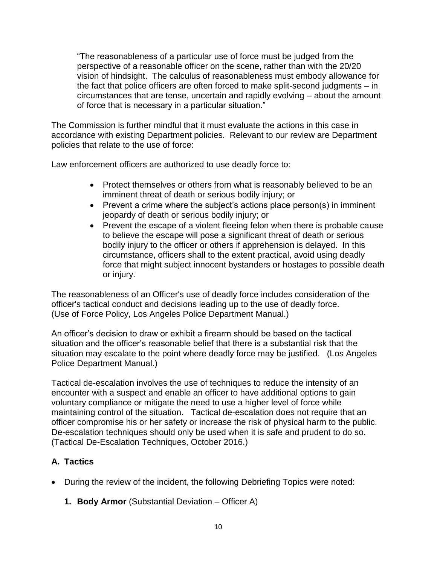"The reasonableness of a particular use of force must be judged from the perspective of a reasonable officer on the scene, rather than with the 20/20 vision of hindsight. The calculus of reasonableness must embody allowance for the fact that police officers are often forced to make split-second judgments – in circumstances that are tense, uncertain and rapidly evolving – about the amount of force that is necessary in a particular situation."

The Commission is further mindful that it must evaluate the actions in this case in accordance with existing Department policies. Relevant to our review are Department policies that relate to the use of force:

Law enforcement officers are authorized to use deadly force to:

- Protect themselves or others from what is reasonably believed to be an imminent threat of death or serious bodily injury; or
- Prevent a crime where the subject's actions place person(s) in imminent jeopardy of death or serious bodily injury; or
- Prevent the escape of a violent fleeing felon when there is probable cause to believe the escape will pose a significant threat of death or serious bodily injury to the officer or others if apprehension is delayed. In this circumstance, officers shall to the extent practical, avoid using deadly force that might subject innocent bystanders or hostages to possible death or injury.

The reasonableness of an Officer's use of deadly force includes consideration of the officer's tactical conduct and decisions leading up to the use of deadly force. (Use of Force Policy, Los Angeles Police Department Manual.)

An officer's decision to draw or exhibit a firearm should be based on the tactical situation and the officer's reasonable belief that there is a substantial risk that the situation may escalate to the point where deadly force may be justified. (Los Angeles Police Department Manual.)

Tactical de-escalation involves the use of techniques to reduce the intensity of an encounter with a suspect and enable an officer to have additional options to gain voluntary compliance or mitigate the need to use a higher level of force while maintaining control of the situation. Tactical de-escalation does not require that an officer compromise his or her safety or increase the risk of physical harm to the public. De-escalation techniques should only be used when it is safe and prudent to do so. (Tactical De-Escalation Techniques, October 2016.)

# **A. Tactics**

- During the review of the incident, the following Debriefing Topics were noted:
	- **1. Body Armor** (Substantial Deviation Officer A)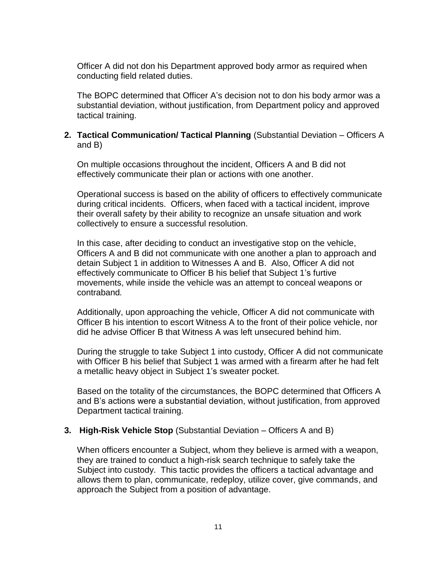Officer A did not don his Department approved body armor as required when conducting field related duties.

The BOPC determined that Officer A's decision not to don his body armor was a substantial deviation, without justification, from Department policy and approved tactical training.

#### **2. Tactical Communication/ Tactical Planning** (Substantial Deviation – Officers A and B)

On multiple occasions throughout the incident, Officers A and B did not effectively communicate their plan or actions with one another.

Operational success is based on the ability of officers to effectively communicate during critical incidents. Officers, when faced with a tactical incident, improve their overall safety by their ability to recognize an unsafe situation and work collectively to ensure a successful resolution.

In this case, after deciding to conduct an investigative stop on the vehicle, Officers A and B did not communicate with one another a plan to approach and detain Subject 1 in addition to Witnesses A and B. Also, Officer A did not effectively communicate to Officer B his belief that Subject 1's furtive movements, while inside the vehicle was an attempt to conceal weapons or contraband*.*

Additionally, upon approaching the vehicle, Officer A did not communicate with Officer B his intention to escort Witness A to the front of their police vehicle, nor did he advise Officer B that Witness A was left unsecured behind him.

During the struggle to take Subject 1 into custody, Officer A did not communicate with Officer B his belief that Subject 1 was armed with a firearm after he had felt a metallic heavy object in Subject 1's sweater pocket.

Based on the totality of the circumstances, the BOPC determined that Officers A and B's actions were a substantial deviation, without justification, from approved Department tactical training.

#### **3. High-Risk Vehicle Stop** (Substantial Deviation – Officers A and B)

When officers encounter a Subject, whom they believe is armed with a weapon, they are trained to conduct a high-risk search technique to safely take the Subject into custody. This tactic provides the officers a tactical advantage and allows them to plan, communicate, redeploy, utilize cover, give commands, and approach the Subject from a position of advantage.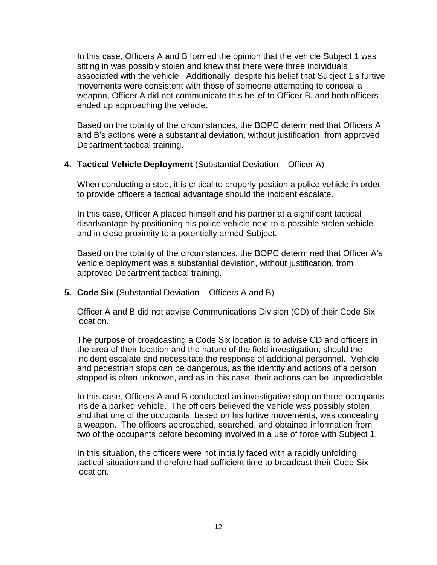In this case, Officers A and B formed the opinion that the vehicle Subject 1 was sitting in was possibly stolen and knew that there were three individuals associated with the vehicle. Additionally, despite his belief that Subject 1's furtive movements were consistent with those of someone attempting to conceal a weapon, Officer A did not communicate this belief to Officer B, and both officers ended up approaching the vehicle.

Based on the totality of the circumstances, the BOPC determined that Officers A and B's actions were a substantial deviation, without justification, from approved Department tactical training.

#### **4. Tactical Vehicle Deployment** (Substantial Deviation – Officer A)

When conducting a stop, it is critical to properly position a police vehicle in order to provide officers a tactical advantage should the incident escalate.

In this case, Officer A placed himself and his partner at a significant tactical disadvantage by positioning his police vehicle next to a possible stolen vehicle and in close proximity to a potentially armed Subject.

Based on the totality of the circumstances, the BOPC determined that Officer A's vehicle deployment was a substantial deviation, without justification, from approved Department tactical training.

**5. Code Six** (Substantial Deviation – Officers A and B)

Officer A and B did not advise Communications Division (CD) of their Code Six location.

The purpose of broadcasting a Code Six location is to advise CD and officers in the area of their location and the nature of the field investigation, should the incident escalate and necessitate the response of additional personnel. Vehicle and pedestrian stops can be dangerous, as the identity and actions of a person stopped is often unknown, and as in this case, their actions can be unpredictable.

In this case, Officers A and B conducted an investigative stop on three occupants inside a parked vehicle. The officers believed the vehicle was possibly stolen and that one of the occupants, based on his furtive movements, was concealing a weapon. The officers approached, searched, and obtained information from two of the occupants before becoming involved in a use of force with Subject 1.

In this situation, the officers were not initially faced with a rapidly unfolding tactical situation and therefore had sufficient time to broadcast their Code Six location.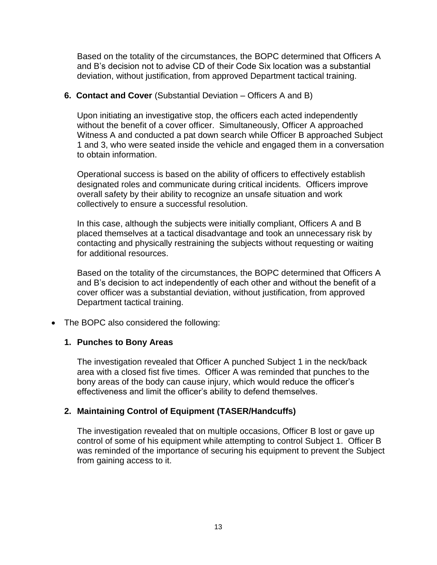Based on the totality of the circumstances, the BOPC determined that Officers A and B's decision not to advise CD of their Code Six location was a substantial deviation, without justification, from approved Department tactical training.

#### **6. Contact and Cover** (Substantial Deviation – Officers A and B)

Upon initiating an investigative stop, the officers each acted independently without the benefit of a cover officer. Simultaneously, Officer A approached Witness A and conducted a pat down search while Officer B approached Subject 1 and 3, who were seated inside the vehicle and engaged them in a conversation to obtain information.

Operational success is based on the ability of officers to effectively establish designated roles and communicate during critical incidents. Officers improve overall safety by their ability to recognize an unsafe situation and work collectively to ensure a successful resolution.

In this case, although the subjects were initially compliant, Officers A and B placed themselves at a tactical disadvantage and took an unnecessary risk by contacting and physically restraining the subjects without requesting or waiting for additional resources.

Based on the totality of the circumstances, the BOPC determined that Officers A and B's decision to act independently of each other and without the benefit of a cover officer was a substantial deviation, without justification, from approved Department tactical training.

• The BOPC also considered the following:

#### **1. Punches to Bony Areas**

The investigation revealed that Officer A punched Subject 1 in the neck/back area with a closed fist five times. Officer A was reminded that punches to the bony areas of the body can cause injury, which would reduce the officer's effectiveness and limit the officer's ability to defend themselves.

## **2. Maintaining Control of Equipment (TASER/Handcuffs)**

The investigation revealed that on multiple occasions, Officer B lost or gave up control of some of his equipment while attempting to control Subject 1. Officer B was reminded of the importance of securing his equipment to prevent the Subject from gaining access to it.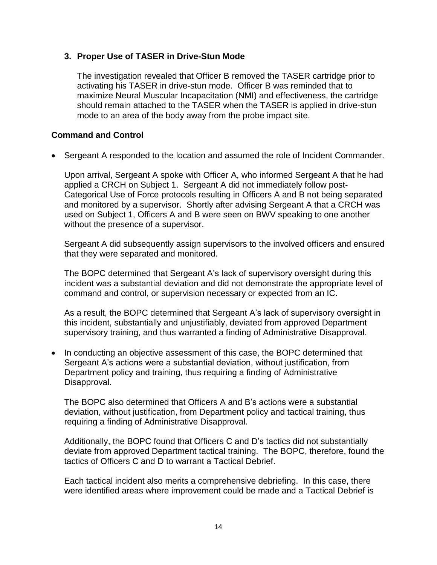### **3. Proper Use of TASER in Drive-Stun Mode**

The investigation revealed that Officer B removed the TASER cartridge prior to activating his TASER in drive-stun mode. Officer B was reminded that to maximize Neural Muscular Incapacitation (NMI) and effectiveness, the cartridge should remain attached to the TASER when the TASER is applied in drive-stun mode to an area of the body away from the probe impact site.

### **Command and Control**

• Sergeant A responded to the location and assumed the role of Incident Commander.

Upon arrival, Sergeant A spoke with Officer A, who informed Sergeant A that he had applied a CRCH on Subject 1. Sergeant A did not immediately follow post-Categorical Use of Force protocols resulting in Officers A and B not being separated and monitored by a supervisor. Shortly after advising Sergeant A that a CRCH was used on Subject 1, Officers A and B were seen on BWV speaking to one another without the presence of a supervisor.

Sergeant A did subsequently assign supervisors to the involved officers and ensured that they were separated and monitored.

The BOPC determined that Sergeant A's lack of supervisory oversight during this incident was a substantial deviation and did not demonstrate the appropriate level of command and control, or supervision necessary or expected from an IC.

As a result, the BOPC determined that Sergeant A's lack of supervisory oversight in this incident, substantially and unjustifiably, deviated from approved Department supervisory training, and thus warranted a finding of Administrative Disapproval.

• In conducting an objective assessment of this case, the BOPC determined that Sergeant A's actions were a substantial deviation, without justification, from Department policy and training, thus requiring a finding of Administrative Disapproval.

The BOPC also determined that Officers A and B's actions were a substantial deviation, without justification, from Department policy and tactical training, thus requiring a finding of Administrative Disapproval.

Additionally, the BOPC found that Officers C and D's tactics did not substantially deviate from approved Department tactical training. The BOPC, therefore, found the tactics of Officers C and D to warrant a Tactical Debrief.

Each tactical incident also merits a comprehensive debriefing. In this case, there were identified areas where improvement could be made and a Tactical Debrief is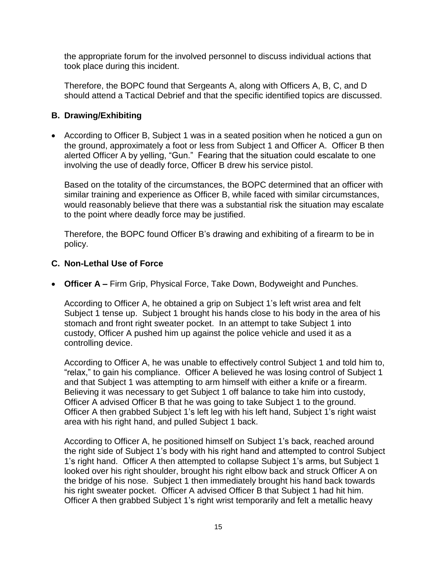the appropriate forum for the involved personnel to discuss individual actions that took place during this incident.

Therefore, the BOPC found that Sergeants A, along with Officers A, B, C, and D should attend a Tactical Debrief and that the specific identified topics are discussed.

### **B. Drawing/Exhibiting**

• According to Officer B, Subject 1 was in a seated position when he noticed a gun on the ground, approximately a foot or less from Subject 1 and Officer A. Officer B then alerted Officer A by yelling, "Gun." Fearing that the situation could escalate to one involving the use of deadly force, Officer B drew his service pistol.

Based on the totality of the circumstances, the BOPC determined that an officer with similar training and experience as Officer B, while faced with similar circumstances, would reasonably believe that there was a substantial risk the situation may escalate to the point where deadly force may be justified.

Therefore, the BOPC found Officer B's drawing and exhibiting of a firearm to be in policy.

## **C. Non-Lethal Use of Force**

• **Officer A –** Firm Grip, Physical Force, Take Down, Bodyweight and Punches.

According to Officer A, he obtained a grip on Subject 1's left wrist area and felt Subject 1 tense up. Subject 1 brought his hands close to his body in the area of his stomach and front right sweater pocket. In an attempt to take Subject 1 into custody, Officer A pushed him up against the police vehicle and used it as a controlling device.

According to Officer A, he was unable to effectively control Subject 1 and told him to, "relax," to gain his compliance. Officer A believed he was losing control of Subject 1 and that Subject 1 was attempting to arm himself with either a knife or a firearm. Believing it was necessary to get Subject 1 off balance to take him into custody, Officer A advised Officer B that he was going to take Subject 1 to the ground. Officer A then grabbed Subject 1's left leg with his left hand, Subject 1's right waist area with his right hand, and pulled Subject 1 back.

According to Officer A, he positioned himself on Subject 1's back, reached around the right side of Subject 1's body with his right hand and attempted to control Subject 1's right hand. Officer A then attempted to collapse Subject 1's arms, but Subject 1 looked over his right shoulder, brought his right elbow back and struck Officer A on the bridge of his nose. Subject 1 then immediately brought his hand back towards his right sweater pocket. Officer A advised Officer B that Subject 1 had hit him. Officer A then grabbed Subject 1's right wrist temporarily and felt a metallic heavy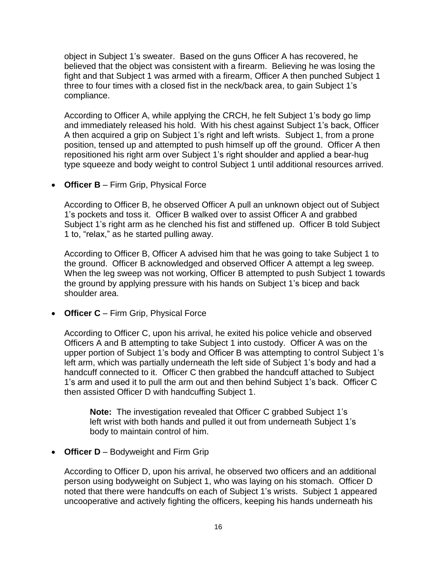object in Subject 1's sweater. Based on the guns Officer A has recovered, he believed that the object was consistent with a firearm. Believing he was losing the fight and that Subject 1 was armed with a firearm, Officer A then punched Subject 1 three to four times with a closed fist in the neck/back area, to gain Subject 1's compliance.

According to Officer A, while applying the CRCH, he felt Subject 1's body go limp and immediately released his hold. With his chest against Subject 1's back, Officer A then acquired a grip on Subject 1's right and left wrists. Subject 1, from a prone position, tensed up and attempted to push himself up off the ground. Officer A then repositioned his right arm over Subject 1's right shoulder and applied a bear-hug type squeeze and body weight to control Subject 1 until additional resources arrived.

• **Officer B** – Firm Grip, Physical Force

According to Officer B, he observed Officer A pull an unknown object out of Subject 1's pockets and toss it. Officer B walked over to assist Officer A and grabbed Subject 1's right arm as he clenched his fist and stiffened up. Officer B told Subject 1 to, "relax," as he started pulling away.

According to Officer B, Officer A advised him that he was going to take Subject 1 to the ground. Officer B acknowledged and observed Officer A attempt a leg sweep. When the leg sweep was not working, Officer B attempted to push Subject 1 towards the ground by applying pressure with his hands on Subject 1's bicep and back shoulder area.

• **Officer C** – Firm Grip, Physical Force

According to Officer C, upon his arrival, he exited his police vehicle and observed Officers A and B attempting to take Subject 1 into custody. Officer A was on the upper portion of Subject 1's body and Officer B was attempting to control Subject 1's left arm, which was partially underneath the left side of Subject 1's body and had a handcuff connected to it. Officer C then grabbed the handcuff attached to Subject 1's arm and used it to pull the arm out and then behind Subject 1's back. Officer C then assisted Officer D with handcuffing Subject 1.

**Note:** The investigation revealed that Officer C grabbed Subject 1's left wrist with both hands and pulled it out from underneath Subject 1's body to maintain control of him.

• **Officer D** – Bodyweight and Firm Grip

According to Officer D, upon his arrival, he observed two officers and an additional person using bodyweight on Subject 1, who was laying on his stomach. Officer D noted that there were handcuffs on each of Subject 1's wrists. Subject 1 appeared uncooperative and actively fighting the officers, keeping his hands underneath his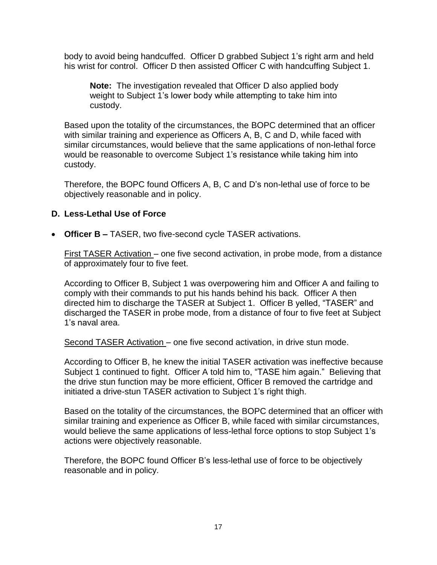body to avoid being handcuffed. Officer D grabbed Subject 1's right arm and held his wrist for control. Officer D then assisted Officer C with handcuffing Subject 1.

**Note:** The investigation revealed that Officer D also applied body weight to Subject 1's lower body while attempting to take him into custody.

Based upon the totality of the circumstances, the BOPC determined that an officer with similar training and experience as Officers A, B, C and D, while faced with similar circumstances, would believe that the same applications of non-lethal force would be reasonable to overcome Subject 1's resistance while taking him into custody.

Therefore, the BOPC found Officers A, B, C and D's non-lethal use of force to be objectively reasonable and in policy.

## **D. Less-Lethal Use of Force**

• **Officer B –** TASER, two five-second cycle TASER activations.

First TASER Activation – one five second activation, in probe mode, from a distance of approximately four to five feet.

According to Officer B, Subject 1 was overpowering him and Officer A and failing to comply with their commands to put his hands behind his back. Officer A then directed him to discharge the TASER at Subject 1. Officer B yelled, "TASER" and discharged the TASER in probe mode, from a distance of four to five feet at Subject 1's naval area.

Second TASER Activation – one five second activation, in drive stun mode.

According to Officer B, he knew the initial TASER activation was ineffective because Subject 1 continued to fight. Officer A told him to, "TASE him again." Believing that the drive stun function may be more efficient, Officer B removed the cartridge and initiated a drive-stun TASER activation to Subject 1's right thigh.

Based on the totality of the circumstances, the BOPC determined that an officer with similar training and experience as Officer B, while faced with similar circumstances, would believe the same applications of less-lethal force options to stop Subject 1's actions were objectively reasonable.

Therefore, the BOPC found Officer B's less-lethal use of force to be objectively reasonable and in policy.